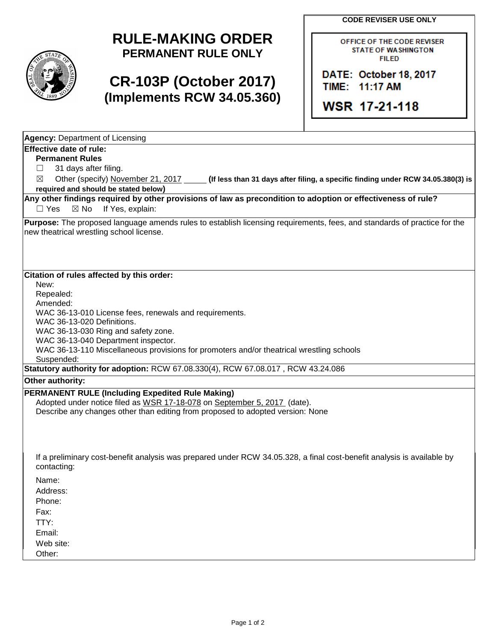**CODE REVISER USE ONLY**



## **RULE-MAKING ORDER PERMANENT RULE ONLY**

## **CR-103P (October 2017) (Implements RCW 34.05.360)**

OFFICE OF THE CODE REVISER **STATE OF WASHINGTON FILED** 

DATE: October 18, 2017 TIME: 11:17 AM

WSR 17-21-118

| <b>Agency: Department of Licensing</b>                                                                                                                               |
|----------------------------------------------------------------------------------------------------------------------------------------------------------------------|
| <b>Effective date of rule:</b>                                                                                                                                       |
| <b>Permanent Rules</b>                                                                                                                                               |
| 31 days after filing.<br>ப                                                                                                                                           |
| Other (specify) November 21, 2017<br>(If less than 31 days after filing, a specific finding under RCW 34.05.380(3) is<br>$\boxtimes$                                 |
| required and should be stated below)                                                                                                                                 |
| Any other findings required by other provisions of law as precondition to adoption or effectiveness of rule?<br>If Yes, explain:<br>$\Box$ Yes<br>$\boxtimes$ No     |
| Purpose: The proposed language amends rules to establish licensing requirements, fees, and standards of practice for the<br>new theatrical wrestling school license. |
| Citation of rules affected by this order:                                                                                                                            |
| New:                                                                                                                                                                 |
| Repealed:                                                                                                                                                            |
| Amended:                                                                                                                                                             |
| WAC 36-13-010 License fees, renewals and requirements.                                                                                                               |
| WAC 36-13-020 Definitions.                                                                                                                                           |
| WAC 36-13-030 Ring and safety zone.                                                                                                                                  |
| WAC 36-13-040 Department inspector.                                                                                                                                  |
| WAC 36-13-110 Miscellaneous provisions for promoters and/or theatrical wrestling schools<br>Suspended:                                                               |
| Statutory authority for adoption: RCW 67.08.330(4), RCW 67.08.017, RCW 43.24.086                                                                                     |
| Other authority:                                                                                                                                                     |
| <b>PERMANENT RULE (Including Expedited Rule Making)</b>                                                                                                              |
| Adopted under notice filed as WSR 17-18-078 on September 5, 2017 (date).                                                                                             |
| Describe any changes other than editing from proposed to adopted version: None                                                                                       |
|                                                                                                                                                                      |
|                                                                                                                                                                      |
|                                                                                                                                                                      |
| If a preliminary cost-benefit analysis was prepared under RCW 34.05.328, a final cost-benefit analysis is available by<br>contacting:                                |
| Name:                                                                                                                                                                |
| Address:                                                                                                                                                             |
| Phone:                                                                                                                                                               |
| Fax:                                                                                                                                                                 |
| TTY:                                                                                                                                                                 |
| Email:                                                                                                                                                               |
| Web site:                                                                                                                                                            |
| Other:                                                                                                                                                               |
|                                                                                                                                                                      |